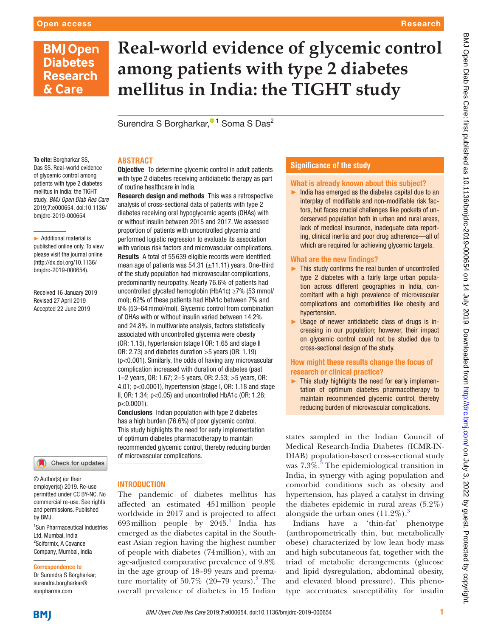To cite: Borgharkar SS, Das SS. Real-world evidence of glycemic control among patients with type 2 diabetes mellitus in India: the TIGHT study. *BMJ Open Diab Res Care* 2019;7:e000654. doi:10.1136/ bmjdrc-2019-000654

# **BMJ Open Diabetes Research** & Care

# **Real-world evidence of glycemic control among patients with type 2 diabetes mellitus in India: the TIGHT study**

Surendra S Borgharkar[,](http://orcid.org/0000-0001-9701-9549)<sup>® 1</sup> Soma S Das<sup>2</sup>

## **ABSTRACT**

**Objective** To determine glycemic control in adult patients with type 2 diabetes receiving antidiabetic therapy as part of routine healthcare in India.

Research design and methods This was a retrospective analysis of cross-sectional data of patients with type 2 diabetes receiving oral hypoglycemic agents (OHAs) with or without insulin between 2015 and 2017. We assessed proportion of patients with uncontrolled glycemia and performed logistic regression to evaluate its association with various risk factors and microvascular complications. Results A total of 55 639 eligible records were identified; mean age of patients was  $54.31$  ( $\pm$ 11.11) years. One-third of the study population had microvascular complications, predominantly neuropathy. Nearly 76.6% of patients had uncontrolled glycated hemoglobin (HbA1c) ≥7% (53 mmol/ mol); 62% of these patients had HbA1c between 7% and 8% (53–64mmol/mol). Glycemic control from combination of OHAs with or without insulin varied between 14.2% and 24.8%. In multivariate analysis, factors statistically associated with uncontrolled glycemia were obesity (OR: 1.15), hypertension (stage I OR: 1.65 and stage II OR: 2.73) and diabetes duration >5 years (OR: 1.19) (p<0.001). Similarly, the odds of having any microvascular complication increased with duration of diabetes (past 1–2 years, OR: 1.67; 2–5 years, OR: 2.53; >5 years, OR: 4.01; p<0.0001), hypertension (stage I, OR: 1.18 and stage II, OR: 1.34; p<0.05) and uncontrolled HbA1c (OR: 1.28; p<0.0001).

Conclusions Indian population with type 2 diabetes has a high burden (76.6%) of poor glycemic control. This study highlights the need for early implementation of optimum diabetes pharmacotherapy to maintain recommended glycemic control, thereby reducing burden of microvascular complications.

Received 16 January 2019 Revised 27 April 2019 Accepted 22 June 2019

► Additional material is published online only. To view please visit the journal online ([http://dx.doi.org/10.1136/](http://dx.doi.org/10.1136bmjdrc-2019-000654) [bmjdrc-2019-000654\)](http://dx.doi.org/10.1136bmjdrc-2019-000654).

#### Check for updates

© Author(s) (or their employer(s)) 2019. Re-use permitted under CC BY-NC. No commercial re-use. See rights and permissions. Published by BMJ.

1 Sun Pharmaceutical Industries Ltd, Mumbai, India <sup>2</sup>Sciformix, A Covance Company, Mumbai, India

#### Correspondence to

Dr Surendra S Borgharkar; surendra.borgharkar@ sunpharma.com

#### **INTRODUCTION**

The pandemic of diabetes mellitus has affected an estimated 451million people worldwide in 2017 and is projected to affect 693 million people by  $2045$ .<sup>1</sup> India has emerged as the diabetes capital in the Southeast Asian region having the highest number of people with diabetes (74million), with an age-adjusted comparative prevalence of 9.8% in the age group of 18–99 years and premature mortality of  $50.7\%$  ([2](#page-7-1)0–79 years).<sup>2</sup> The overall prevalence of diabetes in 15 Indian

#### **Significance of the study**

#### What is already known about this subject?

Research

 $\blacktriangleright$  India has emerged as the diabetes capital due to an interplay of modifiable and non-modifiable risk factors, but faces crucial challenges like pockets of underserved population both in urban and rural areas, lack of medical insurance, inadequate data reporting, clinical inertia and poor drug adherence—all of which are required for achieving glycemic targets.

#### What are the new findings?

- ► This study confirms the real burden of uncontrolled type 2 diabetes with a fairly large urban population across different geographies in India, concomitant with a high prevalence of microvascular complications and comorbidities like obesity and hypertension.
- ► Usage of newer antidiabetic class of drugs is increasing in our population; however, their impact on glycemic control could not be studied due to cross-sectional design of the study.

#### How might these results change the focus of research or clinical practice?

► This study highlights the need for early implementation of optimum diabetes pharmacotherapy to maintain recommended glycemic control, thereby reducing burden of microvascular complications.

states sampled in the Indian Council of Medical Research-India Diabetes (ICMR-IN-DIAB) population-based cross-sectional study was  $7.3\%$  $7.3\%$  $7.3\%$ .<sup>3</sup> The epidemiological transition in India, in synergy with aging population and comorbid conditions such as obesity and hypertension, has played a catalyst in driving the diabetes epidemic in rural areas (5.2%) alongside the urban ones  $(11.2\%)$ .<sup>[3](#page-7-2)</sup>

Indians have a 'thin‐fat' phenotype (anthropometrically thin, but metabolically obese) characterized by low lean body mass and high subcutaneous fat, together with the triad of metabolic derangements (glucose and lipid dysregulation, abdominal obesity, and elevated blood pressure). This phenotype accentuates susceptibility for insulin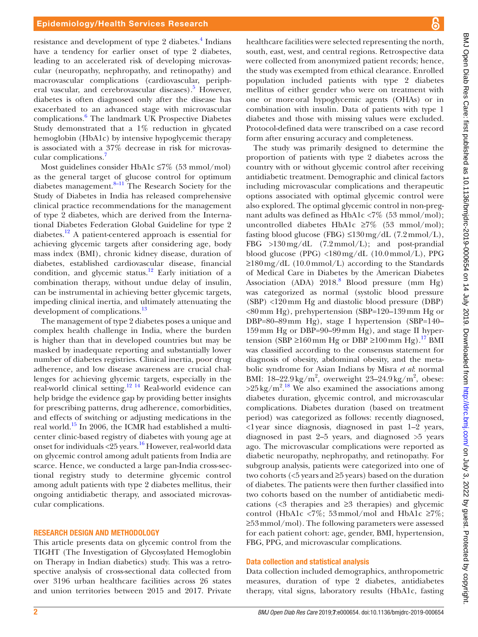resistance and development of type 2 diabetes.<sup>[4](#page-7-3)</sup> Indians have a tendency for earlier onset of type 2 diabetes, leading to an accelerated risk of developing microvascular (neuropathy, nephropathy, and retinopathy) and macrovascular complications (cardiovascular, periph-eral vascular, and cerebrovascular diseases).<sup>[5](#page-7-4)</sup> However, diabetes is often diagnosed only after the disease has exacerbated to an advanced stage with microvascular complications.<sup>6</sup> The landmark UK Prospective Diabetes Study demonstrated that a 1% reduction in glycated hemoglobin (HbA1c) by intensive hypoglycemic therapy is associated with a 37% decrease in risk for microvascular complications.[7](#page-7-6)

Most guidelines consider HbA1c ≤7% (53 mmol/mol) as the general target of glucose control for optimum diabetes management.[8–11](#page-7-7) The Research Society for the Study of Diabetes in India has released comprehensive clinical practice recommendations for the management of type 2 diabetes, which are derived from the International Diabetes Federation Global Guideline for type 2 diabetes.<sup>[12](#page-7-8)</sup> A patient-centered approach is essential for achieving glycemic targets after considering age, body mass index (BMI), chronic kidney disease, duration of diabetes, established cardiovascular disease, financial condition, and glycemic status.<sup>12</sup> Early initiation of a combination therapy, without undue delay of insulin, can be instrumental in achieving better glycemic targets, impeding clinical inertia, and ultimately attenuating the development of complications.<sup>13</sup>

The management of type 2 diabetes poses a unique and complex health challenge in India, where the burden is higher than that in developed countries but may be masked by inadequate reporting and substantially lower number of diabetes registries. Clinical inertia, poor drug adherence, and low disease awareness are crucial challenges for achieving glycemic targets, especially in the real-world clinical setting.<sup>12 14</sup> Real-world evidence can help bridge the evidence gap by providing better insights for prescribing patterns, drug adherence, comorbidities, and effects of switching or adjusting medications in the real world.<sup>15</sup> In 2006, the ICMR had established a multicenter clinic-based registry of diabetes with young age at onset for individuals  $\langle 25 \rangle$  years.<sup>[16](#page-7-11)</sup> However, real-world data on glycemic control among adult patients from India are scarce. Hence, we conducted a large pan-India cross-sectional registry study to determine glycemic control among adult patients with type 2 diabetes mellitus, their ongoing antidiabetic therapy, and associated microvascular complications.

#### Research design and methodology

This article presents data on glycemic control from the TIGHT (The Investigation of Glycosylated Hemoglobin on Therapy in Indian diabetics) study. This was a retrospective analysis of cross-sectional data collected from over 3196 urban healthcare facilities across 26 states and union territories between 2015 and 2017. Private

healthcare facilities were selected representing the north, south, east, west, and central regions. Retrospective data were collected from anonymized patient records; hence, the study was exempted from ethical clearance. Enrolled population included patients with type 2 diabetes mellitus of either gender who were on treatment with one or moreoral hypoglycemic agents (OHAs) or in combination with insulin. Data of patients with type 1 diabetes and those with missing values were excluded. Protocol-defined data were transcribed on a case record form after ensuring accuracy and completeness.

The study was primarily designed to determine the proportion of patients with type 2 diabetes across the country with or without glycemic control after receiving antidiabetic treatment. Demographic and clinical factors including microvascular complications and therapeutic options associated with optimal glycemic control were also explored. The optimal glycemic control in non-pregnant adults was defined as HbA1c <7% (53 mmol/mol); uncontrolled diabetes HbA1c  $\geq 7\%$  (53 mmol/mol); fasting blood glucose (FBG)  $\leq 130 \,\text{mg/dL}$  (7.2mmol/L), FBG >130mg/dL (7.2mmol/L); and post-prandial blood glucose (PPG) <180mg/dL (10.0mmol/L), PPG  $\geq$ 180 mg/dL (10.0 mmol/L) according to the Standards of Medical Care in Diabetes by the American Diabetes Association (ADA) 201[8](#page-7-7).<sup>8</sup> Blood pressure (mm Hg) was categorized as normal (systolic blood pressure (SBP) <120mm Hg and diastolic blood pressure (DBP) <80mm Hg), prehypertension (SBP=120–139mm Hg or DBP=80–89mm Hg), stage I hypertension (SBP=140– 159mm Hg or DBP=90–99mm Hg), and stage II hyper-tension (SBP ≥160mm Hg or DBP ≥100mm Hg).<sup>[17](#page-7-12)</sup> BMI was classified according to the consensus statement for diagnosis of obesity, abdominal obesity, and the metabolic syndrome for Asian Indians by Misra *et al*: normal BMI:  $18-22.9 \text{ kg/m}^2$ , overweight  $23-24.9 \text{ kg/m}^2$ , obese:  $>25 \text{ kg/m}^2$ .<sup>[18](#page-7-13)</sup> We also examined the associations among diabetes duration, glycemic control, and microvascular complications. Diabetes duration (based on treatment period) was categorized as follows: recently diagnosed, <1year since diagnosis, diagnosed in past 1–2 years, diagnosed in past 2–5 years, and diagnosed >5 years ago. The microvascular complications were reported as diabetic neuropathy, nephropathy, and retinopathy. For subgroup analysis, patients were categorized into one of two cohorts (<5 years and ≥5 years) based on the duration of diabetes. The patients were then further classified into two cohorts based on the number of antidiabetic medications ( $\leq$ 3 therapies and  $\geq$ 3 therapies) and glycemic control (HbA1c <7%; 53 mmol/mol and HbA1c  $\geq 7\%$ ; ≥53mmol/mol). The following parameters were assessed for each patient cohort: age, gender, BMI, hypertension, FBG, PPG, and microvascular complications.

#### Data collection and statistical analysis

Data collection included demographics, anthropometric measures, duration of type 2 diabetes, antidiabetes therapy, vital signs, laboratory results (HbA1c, fasting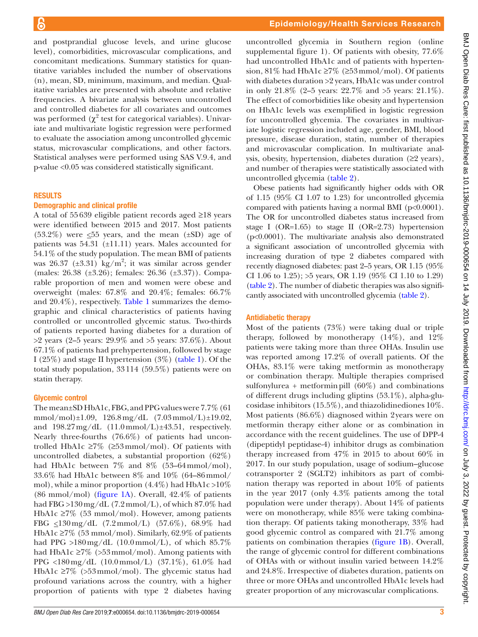and postprandial glucose levels, and urine glucose level), comorbidities, microvascular complications, and concomitant medications. Summary statistics for quantitative variables included the number of observations (n), mean, SD, minimum, maximum, and median. Qualitative variables are presented with absolute and relative frequencies. A bivariate analysis between uncontrolled and controlled diabetes for all covariates and outcomes was performed ( $\chi^2$  test for categorical variables). Univariate and multivariate logistic regression were performed to evaluate the association among uncontrolled glycemic status, microvascular complications, and other factors. Statistical analyses were performed using SAS V.9.4, and p-value <0.05 was considered statistically significant.

#### **RESULTS**

#### Demographic and clinical profile

A total of 55639 eligible patient records aged ≥18 years were identified between 2015 and 2017. Most patients  $(53.2\%)$  were  $\leq 55$  years, and the mean  $(\pm SD)$  age of patients was 54.31 (±11.11) years. Males accounted for 54.1% of the study population. The mean BMI of patients was 26.37 ( $\pm 3.31$ ) kg/m<sup>2</sup>; it was similar across gender (males: 26.38 (±3.26); females: 26.36 (±3.37)). Comparable proportion of men and women were obese and overweight (males: 67.8% and 20.4%; females: 66.7% and 20.4%), respectively. [Table](#page-3-0) 1 summarizes the demographic and clinical characteristics of patients having controlled or uncontrolled glycemic status. Two-thirds of patients reported having diabetes for a duration of  $>$ 2 years (2–5 years: 29.9% and  $>$ 5 years: 37.6%). About 67.1% of patients had prehypertension, followed by stage I (25%) and stage II hypertension (3%) ([table](#page-3-0) 1). Of the total study population, 33114 (59.5%) patients were on statin therapy.

#### Glycemic control

The mean±SD HbA1c, FBG, and PPG values were 7.7% (61 mmol/mol) $\pm 1.09$ , 126.8 mg/dL (7.03 mmol/L) $\pm 19.02$ , and  $198.27 \text{ mg/dL}$  (11.0mmol/L) $\pm 43.51$ , respectively. Nearly three-fourths (76.6%) of patients had uncontrolled HbA1c  $\geq 7\%$  ( $\geq 53$  mmol/mol). Of patients with uncontrolled diabetes, a substantial proportion (62%) had HbA1c between 7% and 8% (53–64mmol/mol), 33.6% had HbA1c between 8% and 10% (64–86mmol/ mol), while a minor proportion  $(4.4\%)$  had HbA1c >10% (86 mmol/mol) [\(figure](#page-4-0) 1A). Overall, 42.4% of patients had FBG  $>130 \,\mathrm{mg/dL}$  (7.2 mmol/L), of which 87.0% had HbA1c ≥7% (53 mmol/mol). However, among patients FBG  $\leq$ 130 mg/dL (7.2 mmol/L) (57.6%), 68.9% had HbA1c  $\geq$ 7% (53 mmol/mol). Similarly, 62.9% of patients had PPG  $>180 \,\text{mg/dL}$  (10.0mmol/L), of which 85.7% had HbA1c  $\geq 7\%$  ( $> 53$  mmol/mol). Among patients with PPG <180mg/dL (10.0mmol/L) (37.1%), 61.0% had HbA1c  $\geq 7\%$  ( $> 53$  mmol/mol). The glycemic status had profound variations across the country, with a higher proportion of patients with type 2 diabetes having

uncontrolled glycemia in Southern region [\(online](https://dx.doi.org/10.1136/bmjdrc-2019-000654) [supplemental figure 1\)](https://dx.doi.org/10.1136/bmjdrc-2019-000654). Of patients with obesity, 77.6% had uncontrolled HbA1c and of patients with hypertension, 81% had HbA1c ≥7% (≥53mmol/mol). Of patients with diabetes duration >2 years, HbA1c was under control in only 21.8% (2–5 years: 22.7% and >5 years: 21.1%). The effect of comorbidities like obesity and hypertension on HbA1c levels was exemplified in logistic regression for uncontrolled glycemia. The covariates in multivariate logistic regression included age, gender, BMI, blood pressure, disease duration, statin, number of therapies and microvascular complication. In multivariate analysis, obesity, hypertension, diabetes duration (≥2 years), and number of therapies were statistically associated with uncontrolled glycemia ([table](#page-5-0) 2).

Obese patients had significantly higher odds with OR of 1.15 (95% CI 1.07 to 1.23) for uncontrolled glycemia compared with patients having a normal BMI  $(p<0.0001)$ . The OR for uncontrolled diabetes status increased from stage I (OR=1.65) to stage II (OR=2.73) hypertension (p<0.0001). The multivariate analysis also demonstrated a significant association of uncontrolled glycemia with increasing duration of type 2 diabetes compared with recently diagnosed diabetes: past 2–5 years, OR 1.15 (95% CI 1.06 to 1.25); >5 years, OR 1.19 (95% CI 1.10 to 1.29) [\(table](#page-5-0) 2). The number of diabetic therapies was also significantly associated with uncontrolled glycemia [\(table](#page-5-0) 2).

#### Antidiabetic therapy

Most of the patients (73%) were taking dual or triple therapy, followed by monotherapy (14%), and 12% patients were taking more than three OHAs. Insulin use was reported among 17.2% of overall patients. Of the OHAs, 83.1% were taking metformin as monotherapy or combination therapy. Multiple therapies comprised sulfonylurea + metformin pill  $(60\%)$  and combinations of different drugs including gliptins (53.1%), alpha-glucosidase inhibitors (15.5%), and thiazolidinediones 10%. Most patients (86.6%) diagnosed within 2years were on metformin therapy either alone or as combination in accordance with the recent guidelines. The use of DPP-4 (dipeptidyl peptidase-4) inhibitor drugs as combination therapy increased from 47% in 2015 to about 60% in 2017. In our study population, usage of sodium–glucose cotransporter 2 (SGLT2) inhibitors as part of combination therapy was reported in about 10% of patients in the year 2017 (only 4.3% patients among the total population were under therapy). About 14% of patients were on monotherapy, while 85% were taking combination therapy. Of patients taking monotherapy, 33% had good glycemic control as compared with 21.7% among patients on combination therapies [\(figure](#page-4-0) 1B). Overall, the range of glycemic control for different combinations of OHAs with or without insulin varied between 14.2% and 24.8%. Irrespective of diabetes duration, patients on three or more OHAs and uncontrolled HbA1c levels had greater proportion of any microvascular complications.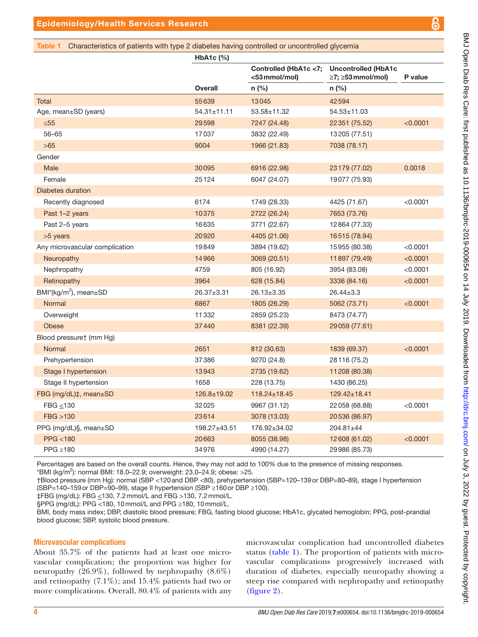#### <span id="page-3-0"></span>Table 1 Characteristics of patients with type 2 diabetes having controlled or uncontrolled glycemia

|                                | HbA <sub>1</sub> c $(\%)$ |                                        |                                                 |          |
|--------------------------------|---------------------------|----------------------------------------|-------------------------------------------------|----------|
|                                |                           | Controlled (HbA1c <7;<br><53 mmol/mol) | <b>Uncontrolled (HbA1c</b><br>≥7; ≥53 mmol/mol) | P value  |
|                                | <b>Overall</b>            | n (%)                                  | $n$ (%)                                         |          |
| Total                          | 55639                     | 13045                                  | 42594                                           |          |
| Age, mean±SD (years)           | $54.31 \pm 11.11$         | 53.58±11.32                            | 54.53±11.03                                     |          |
| $\leq 55$                      | 29598                     | 7247 (24.48)                           | 22 351 (75.52)                                  | < 0.0001 |
| $56 - 65$                      | 17037                     | 3832 (22.49)                           | 13205 (77.51)                                   |          |
| $>65$                          | 9004                      | 1966 (21.83)                           | 7038 (78.17)                                    |          |
| Gender                         |                           |                                        |                                                 |          |
| Male                           | 30095                     | 6916 (22.98)                           | 23 179 (77.02)                                  | 0.0018   |
| Female                         | 25124                     | 6047 (24.07)                           | 19077 (75.93)                                   |          |
| <b>Diabetes duration</b>       |                           |                                        |                                                 |          |
| Recently diagnosed             | 6174                      | 1749 (28.33)                           | 4425 (71.67)                                    | < 0.0001 |
| Past 1-2 years                 | 10375                     | 2722 (26.24)                           | 7653 (73.76)                                    |          |
| Past 2-5 years                 | 16635                     | 3771 (22.67)                           | 12864 (77.33)                                   |          |
| >5 years                       | 20920                     | 4405 (21.06)                           | 16515 (78.94)                                   |          |
| Any microvascular complication | 19849                     | 3894 (19.62)                           | 15955 (80.38)                                   | < 0.0001 |
| Neuropathy                     | 14966                     | 3069 (20.51)                           | 11897 (79.49)                                   | < 0.0001 |
| Nephropathy                    | 4759                      | 805 (16.92)                            | 3954 (83.08)                                    | < 0.0001 |
| Retinopathy                    | 3964                      | 628 (15.84)                            | 3336 (84.16)                                    | < 0.0001 |
| BMI*( $kg/m2$ ), mean $\pm$ SD | 26.37±3.31                | 26.13±3.35                             | $26.44 \pm 3.3$                                 |          |
| Normal                         | 6867                      | 1805 (26.29)                           | 5062 (73.71)                                    | < 0.0001 |
| Overweight                     | 11332                     | 2859 (25.23)                           | 8473 (74.77)                                    |          |
| <b>Obese</b>                   | 37440                     | 8381 (22.39)                           | 29059 (77.61)                                   |          |
| Blood pressure† (mm Hg)        |                           |                                        |                                                 |          |
| Normal                         | 2651                      | 812 (30.63)                            | 1839 (69.37)                                    | < 0.0001 |
| Prehypertension                | 37386                     | 9270 (24.8)                            | 28116 (75.2)                                    |          |
| Stage I hypertension           | 13943                     | 2735 (19.62)                           | 11208 (80.38)                                   |          |
| Stage II hypertension          | 1658                      | 228 (13.75)                            | 1430 (86.25)                                    |          |
| FBG (mg/dL)‡, mean±SD          | 126.8±19.02               | $118.24 \pm 18.45$                     | $129.42 \pm 18.41$                              |          |
| $FBG \leq 130$                 | 32025                     | 9967 (31.12)                           | 22058 (68.88)                                   | < 0.0001 |
| FBG > 130                      | 23614                     | 3078 (13.03)                           | 20536 (86.97)                                   |          |
| PPG (mg/dL)§, mean±SD          | 198.27±43.51              | 176.92±34.02                           | 204.81±44                                       |          |
| PPG < 180                      | 20663                     | 8055 (38.98)                           | 12 608 (61.02)                                  | < 0.0001 |
| PPG $\geq 180$                 | 34976                     | 4990 (14.27)                           | 29986 (85.73)                                   |          |

Percentages are based on the overall counts. Hence, they may not add to 100% due to the presence of missing responses.  $*$ BMI (kg/m<sup>2</sup>): normal BMI: 18.0–22.9; overweight: 23.0–24.9; obese: >25.

†Blood pressure (mm Hg): normal (SBP <120and DBP <80), prehypertension (SBP=120–139or DBP=80–89), stage I hypertension (SBP=140–159or DBP=90–99), stage II hypertension (SBP ≥160or DBP ≥100).

‡FBG (mg/dL): FBG <130, 7.2mmol/L and FBG >130, 7.2mmol/L.

§PPG (mg/dL): PPG <180, 10 mmol/L and PPG ≥180, 10 mmol/L.

BMI, body mass index; DBP, diastolic blood pressure; FBG, fasting blood glucose; HbA1c, glycated hemoglobin; PPG, post-prandial blood glucose; SBP, systolic blood pressure.

#### Microvascular complications

About 35.7% of the patients had at least one microvascular complication; the proportion was higher for neuropathy  $(26.9\%)$ , followed by nephropathy  $(8.6\%)$ and retinopathy (7.1%); and 15.4% patients had two or more complications. Overall, 80.4% of patients with any

microvascular complication had uncontrolled diabetes status [\(table](#page-3-0) 1). The proportion of patients with microvascular complications progressively increased with duration of diabetes, especially neuropathy showing a steep rise compared with nephropathy and retinopathy [\(figure](#page-6-0) 2).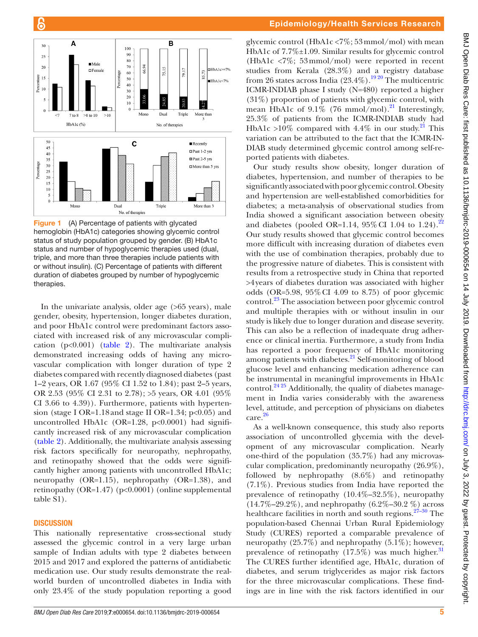

<span id="page-4-0"></span>**Figure 1** (A) Percentage of patients with glycated hemoglobin (HbA1c) categories showing glycemic control status of study population grouped by gender. (B) HbA1c status and number of hypoglycemic therapies used (dual, triple, and more than three therapies include patients with or without insulin). (C) Percentage of patients with different duration of diabetes grouped by number of hypoglycemic therapies.

In the univariate analysis, older age (>65 years), male gender, obesity, hypertension, longer diabetes duration, and poor HbA1c control were predominant factors associated with increased risk of any microvascular complication ( $p<0.001$ ) ([table](#page-5-0) 2). The multivariate analysis demonstrated increasing odds of having any microvascular complication with longer duration of type 2 diabetes compared with recently diagnosed diabetes (past 1–2 years, OR 1.67 (95% CI 1.52 to 1.84); past 2–5 years, OR 2.53 (95% CI 2.31 to 2.78); >5 years, OR 4.01 (95% CI 3.66 to 4.39)). Furthermore, patients with hypertension (stage I OR=1.18 and stage II OR=1.34;  $p<0.05$ ) and uncontrolled HbA1c (OR=1.28,  $p<0.0001$ ) had significantly increased risk of any microvascular complication [\(table](#page-5-0) 2). Additionally, the multivariate analysis assessing risk factors specifically for neuropathy, nephropathy, and retinopathy showed that the odds were significantly higher among patients with uncontrolled HbA1c; neuropathy  $(OR=1.15)$ , nephropathy  $(OR=1.38)$ , and retinopathy (OR=1.47) (p<0.0001) ([online supplemental](https://dx.doi.org/10.1136/bmjdrc-2019-000654) [table S1](https://dx.doi.org/10.1136/bmjdrc-2019-000654)).

#### **DISCUSSION**

This nationally representative cross-sectional study assessed the glycemic control in a very large urban sample of Indian adults with type 2 diabetes between 2015 and 2017 and explored the patterns of antidiabetic medication use. Our study results demonstrate the realworld burden of uncontrolled diabetes in India with only 23.4% of the study population reporting a good

glycemic control (HbA1c  $\langle 7\%; 53 \text{mmol/mol} \rangle$  with mean HbA1c of 7.7%±1.09. Similar results for glycemic control (HbA1c <7%; 53mmol/mol) were reported in recent studies from Kerala (28.3%) and a registry database from 26 states across India  $(23.4\%)$ .<sup>1920</sup> The multicentric ICMR-INDIAB phase I study (N=480) reported a higher (31%) proportion of patients with glycemic control, with mean HbA1c of  $9.1\%$  (76 mmol/mol).<sup>[21](#page-7-15)</sup> Interestingly, 25.3% of patients from the ICMR-INDIAB study had HbA1c >10% compared with 4.4% in our study.<sup>21</sup> This variation can be attributed to the fact that the ICMR-IN-DIAB study determined glycemic control among self-reported patients with diabetes.

Our study results show obesity, longer duration of diabetes, hypertension, and number of therapies to be significantly associated with poor glycemic control. Obesity and hypertension are well-established comorbidities for diabetes; a meta-analysis of observational studies from India showed a significant association between obesity and diabetes (pooled OR=1.14,  $95\%$  CI 1.04 to 1.24).<sup>22</sup> Our study results showed that glycemic control becomes more difficult with increasing duration of diabetes even with the use of combination therapies, probably due to the progressive nature of diabetes. This is consistent with results from a retrospective study in China that reported >4years of diabetes duration was associated with higher odds (OR=5.98, 95%CI 4.09 to 8.75) of poor glycemic control.[23](#page-7-17) The association between poor glycemic control and multiple therapies with or without insulin in our study is likely due to longer duration and disease severity. This can also be a reflection of inadequate drug adherence or clinical inertia. Furthermore, a study from India has reported a poor frequency of HbA1c monitoring among patients with diabetes. $^{21}$  Self-monitoring of blood glucose level and enhancing medication adherence can be instrumental in meaningful improvements in HbA1c control.<sup>24 25</sup> Additionally, the quality of diabetes management in India varies considerably with the awareness level, attitude, and perception of physicians on diabetes care.[26](#page-7-19)

As a well-known consequence, this study also reports association of uncontrolled glycemia with the development of any microvascular complication. Nearly one-third of the population (35.7%) had any microvascular complication, predominantly neuropathy (26.9%), followed by nephropathy (8.6%) and retinopathy (7.1%). Previous studies from India have reported the prevalence of retinopathy  $(10.4\% - 32.5\%)$ , neuropathy  $(14.7\% - 29.2\%)$ , and nephropathy  $(6.2\% - 30.2\%)$  across healthcare facilities in north and south regions. $2^{7-30}$  The population-based Chennai Urban Rural Epidemiology Study (CURES) reported a comparable prevalence of neuropathy (25.7%) and nephropathy (5.1%); however, prevalence of retinopathy  $(17.5\%)$  was much higher.<sup>31</sup> The CURES further identified age, HbA1c, duration of diabetes, and serum triglycerides as major risk factors for the three microvascular complications. These findings are in line with the risk factors identified in our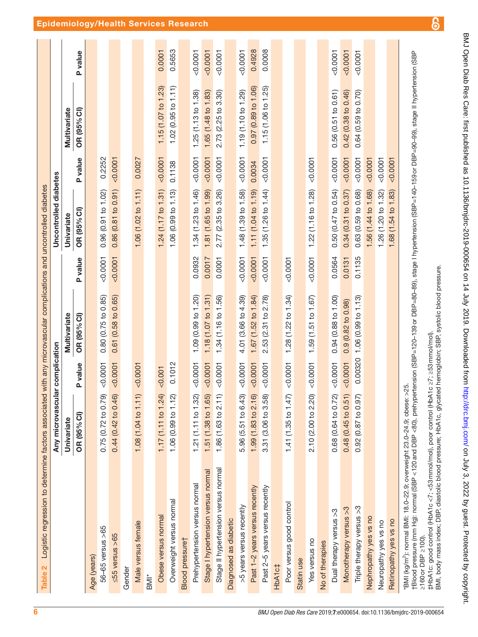| Logistic regression to determine factors associated with any microvascular complications and uncontrolled diabetes<br>Table 2                                                                                                                                                                                                                                                                                                                                                        |                                                                   |          |                     |                |                       |          |                     |         |
|--------------------------------------------------------------------------------------------------------------------------------------------------------------------------------------------------------------------------------------------------------------------------------------------------------------------------------------------------------------------------------------------------------------------------------------------------------------------------------------|-------------------------------------------------------------------|----------|---------------------|----------------|-----------------------|----------|---------------------|---------|
|                                                                                                                                                                                                                                                                                                                                                                                                                                                                                      | Any microvascular complication                                    |          |                     |                | Uncontrolled diabetes |          |                     |         |
|                                                                                                                                                                                                                                                                                                                                                                                                                                                                                      | Univariate                                                        |          | Multivariate        |                | Univariate            |          | Multivariate        |         |
|                                                                                                                                                                                                                                                                                                                                                                                                                                                                                      | OR (95% CI)                                                       | P value  | OR (95% CI)         | <b>P</b> value | OR (95% CI)           | P value  | OR (95% CI)         | P value |
| Age (years)                                                                                                                                                                                                                                                                                                                                                                                                                                                                          |                                                                   |          |                     |                |                       |          |                     |         |
| 56-65 versus >65                                                                                                                                                                                                                                                                                                                                                                                                                                                                     | ெ<br>0.75(0.72 to 0.79)                                           | < 0.0001 | 0.80(0.75 to 0.85)  | 0.0001         | 0.96 (0.91 to 1.02)   | 0.2252   |                     |         |
| ≤55 versus >65                                                                                                                                                                                                                                                                                                                                                                                                                                                                       | 0.44 (0.42 to 0.46)                                               | < 0.0001 | 0.61 (0.58 to 0.65) | 0.0001         | 0.86(0.81 to 0.91)    | < 0.0001 |                     |         |
| Gender                                                                                                                                                                                                                                                                                                                                                                                                                                                                               |                                                                   |          |                     |                |                       |          |                     |         |
| Male versus female                                                                                                                                                                                                                                                                                                                                                                                                                                                                   | $\Rightarrow$<br>1.08 (1.04 to 1.1                                | < 0.0001 |                     |                | 1.06 (1.02 to 1.11)   | 0.0027   |                     |         |
| BMI*                                                                                                                                                                                                                                                                                                                                                                                                                                                                                 |                                                                   |          |                     |                |                       |          |                     |         |
| Obese versus normal                                                                                                                                                                                                                                                                                                                                                                                                                                                                  | $\overline{4}$<br>1.17(1.11 to 1.2)                               | 0.001    |                     |                | 1.24(1.17 to 1.31)    | < 0.0001 | 1.15(1.07 to 1.23)  | 0.0001  |
| Overweight versus normal                                                                                                                                                                                                                                                                                                                                                                                                                                                             | 1.06 (0.99 to 1.12)                                               | 0.1012   |                     |                | 1.06 (0.99 to 1.13)   | 0.1138   | 1.02(0.95 to 1.11)  | 0.5653  |
| <b>Blood</b> pressuret                                                                                                                                                                                                                                                                                                                                                                                                                                                               |                                                                   |          |                     |                |                       |          |                     |         |
| Prehypertension versus normal                                                                                                                                                                                                                                                                                                                                                                                                                                                        | 1.21 (1.11 to 1.32)                                               | < 0.0001 | 1.09 (0.99 to 1.20) | 0.0932         | 1.34 (1.23 to 1.46)   | 0.0001   | 1.25(1.13 to 1.38)  | 50.0001 |
| Stage I hypertension versus normal                                                                                                                                                                                                                                                                                                                                                                                                                                                   | 1.51 (1.38 to 1.65)                                               | < 0.0001 | 1.18 (1.07 to 1.31) | 0.0017         | 1.81 (1.65 to 1.99)   | < 0.0001 | 1.65 (1.48 to 1.83) | 0.0001  |
| Stage II hypertension versus normal                                                                                                                                                                                                                                                                                                                                                                                                                                                  | $\widehat{+}$<br>1.86 (1.63 to 2.1                                | < 0.0001 | 1.34 (1.16 to 1.56) | 0.0001         | 2.77 (2.35 to 3.26)   | < 0.0001 | 2.73 (2.25 to 3.30) | 0.0001  |
| Diagnosed as diabetic                                                                                                                                                                                                                                                                                                                                                                                                                                                                |                                                                   |          |                     |                |                       |          |                     |         |
| >5 years versus recently                                                                                                                                                                                                                                                                                                                                                                                                                                                             | 5.96 (5.51 to 6.43)                                               | 0.0001   | 4.01 (3.66 to 4.39) | 0.0001         | 1.48 (1.39 to 1.58)   | < 0.0001 | 1.19 (1.10 to 1.29) | 0.0001  |
| Past 1-2 years versus recently                                                                                                                                                                                                                                                                                                                                                                                                                                                       | 1.99 (1.83 to 2.16)                                               | 0.0001   | 1.67 (1.52 to 1.84) | 0.0001         | 1.11 (1.04 to 1.19)   | 0.0034   | 0.97 (0.89 to 1.06) | 0.4928  |
| Past 2-5 years versus recently                                                                                                                                                                                                                                                                                                                                                                                                                                                       | 3.31 (3.06 to 3.58)                                               | 0.0001   | 2.53 (2.31 to 2.78) | < 0.0001       | 1.35(1.26 to 1.44)    | 0.0001   | 1.15 (1.06 to 1.25) | 0.0008  |
| HbA1c‡                                                                                                                                                                                                                                                                                                                                                                                                                                                                               |                                                                   |          |                     |                |                       |          |                     |         |
| Poor versus good control                                                                                                                                                                                                                                                                                                                                                                                                                                                             | $\widehat{\sim}$<br>1.41(1.35 to 1.4)                             | 0.0001   | 1.28(1.22 to 1.34)  | < 0.0001       |                       |          |                     |         |
| Statin use                                                                                                                                                                                                                                                                                                                                                                                                                                                                           |                                                                   |          |                     |                |                       |          |                     |         |
| Yes versus no                                                                                                                                                                                                                                                                                                                                                                                                                                                                        | 2.10 (2.00 to 2.20)                                               | 0.0001   | 1.59 (1.51 to 1.67) | 0.0001         | 1.22 (1.16 to 1.28)   | 0.0001   |                     |         |
| No of therapies                                                                                                                                                                                                                                                                                                                                                                                                                                                                      |                                                                   |          |                     |                |                       |          |                     |         |
| Dual therapy versus >3                                                                                                                                                                                                                                                                                                                                                                                                                                                               | 0.68 (0.64 to 0.72)                                               | 0.0001   | 0.94 (0.88 to 1.00) | 0.0564         | 0.50(0.47 to 0.54)    | < 0.0001 | 0.56(0.51 to 0.61)  | 0.0007  |
| Monotherapy versus >3                                                                                                                                                                                                                                                                                                                                                                                                                                                                | $\frac{0.48(0.45 \text{ to } 0.51)}{0.92(0.87 \text{ to } 0.97)}$ | 0.0001   | 0.9 (0.82 to 0.98)  | 0.0131         | 0.34(0.31 to 0.37)    | 0.0001   | 0.42(0.38 to 0.46)  | 0.0001  |
| Triple therapy versus >3                                                                                                                                                                                                                                                                                                                                                                                                                                                             |                                                                   | 0.00320  | 1.06(0.99 to 1.13)  | 0.1135         | 0.63 (0.59 to 0.68)   | 0.0001   | 0.64 (0.59 to 0.70) | 0.0001  |
| Nephropathy yes vs no                                                                                                                                                                                                                                                                                                                                                                                                                                                                |                                                                   |          |                     |                | 1.56 (1.44 to 1.68)   | 0.0001   |                     |         |
| Neuropathy yes vs no                                                                                                                                                                                                                                                                                                                                                                                                                                                                 |                                                                   |          |                     |                | 1.26 (1.20 to 1.32)   | < 0.0001 |                     |         |
| Retinopathy yes vs no                                                                                                                                                                                                                                                                                                                                                                                                                                                                |                                                                   |          |                     |                | 1.68 (1.54 to 1.83)   | < 0.0001 |                     |         |
| *BMI (kg/m <sup>2</sup> ): normal BMI: 18.0–22.9; overweight 23.0–24.9; obese: >25.<br>†Blood pressure (mm Hg): normal (SBP <120 and DBP <80), prehypertension (SBP=120–139 or DBP=80–89), stage I hypertension SBP=90–99), stage II hypert<br>BMI, body mass index; DBP, diastolic blood pressure; HbA1c, glycated hemoglobin; SBP, systolic blood pressure.<br>‡HbA1c: good control (HbA1c <7; <53mmol/mol), poor control (HbA1c ≥7; ≥53mmol/mol).<br>$\geq 160$ or DBP $\geq 100$ |                                                                   |          |                     |                |                       |          |                     |         |
|                                                                                                                                                                                                                                                                                                                                                                                                                                                                                      |                                                                   |          |                     |                |                       |          |                     |         |

BMJ Open Diab Res Care: first published as 10.1136/bmjdrc-2019-000654 on 14 July 2019. Downloaded from http://drc.bmj.com/ on July 3, 2022 by guest. Protected by copyright. BMJ Open Diab Res Care: first published as 10.1136/bmjdrc-2019-000654 on 14 July 2019. Downloaded from Dawnloaded from Diab Res Care: Frotected by copyright.

<span id="page-5-0"></span>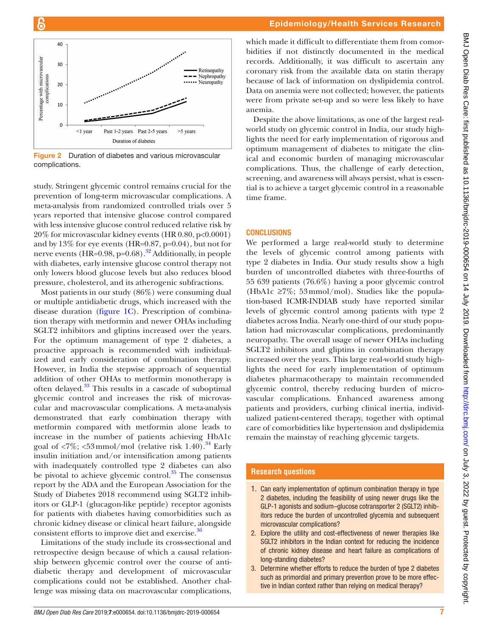

6

<span id="page-6-0"></span>**Figure 2** Duration of diabetes and various microvascular complications.

study. Stringent glycemic control remains crucial for the prevention of long-term microvascular complications. A meta-analysis from randomized controlled trials over 5 years reported that intensive glucose control compared with less intensive glucose control reduced relative risk by 20% for microvascular kidney events (HR 0.80, p<0.0001) and by 13% for eye events (HR=0.87, p=0.04), but not for nerve events (HR= $0.98$ , p= $0.68$ ).<sup>[32](#page-7-22)</sup> Additionally, in people with diabetes, early intensive glucose control therapy not only lowers blood glucose levels but also reduces blood pressure, cholesterol, and its atherogenic subfractions.

Most patients in our study (86%) were consuming dual or multiple antidiabetic drugs, which increased with the disease duration ([figure](#page-4-0) 1C). Prescription of combination therapy with metformin and newer OHAs including SGLT2 inhibitors and gliptins increased over the years. For the optimum management of type 2 diabetes, a proactive approach is recommended with individualized and early consideration of combination therapy. However, in India the stepwise approach of sequential addition of other OHAs to metformin monotherapy is often delayed.<sup>33</sup> This results in a cascade of suboptimal glycemic control and increases the risk of microvascular and macrovascular complications. A meta-analysis demonstrated that early combination therapy with metformin compared with metformin alone leads to increase in the number of patients achieving HbA1c goal of  $\langle 7\%; \langle 53 \text{mmol/mol} \rangle$  (relative risk 1.40).<sup>34</sup> Early insulin initiation and/or intensification among patients with inadequately controlled type 2 diabetes can also be pivotal to achieve glycemic control. $35$  The consensus report by the ADA and the European Association for the Study of Diabetes 2018 recommend using SGLT2 inhibitors or GLP-1 (glucagon-like peptide) receptor agonists for patients with diabetes having comorbidities such as chronic kidney disease or clinical heart failure, alongside consistent efforts to improve diet and exercise.<sup>[36](#page-7-26)</sup>

Limitations of the study include its cross-sectional and retrospective design because of which a causal relationship between glycemic control over the course of antidiabetic therapy and development of microvascular complications could not be established. Another challenge was missing data on macrovascular complications,

which made it difficult to differentiate them from comorbidities if not distinctly documented in the medical records. Additionally, it was difficult to ascertain any coronary risk from the available data on statin therapy because of lack of information on dyslipidemia control. Data on anemia were not collected; however, the patients were from private set-up and so were less likely to have anemia.

Despite the above limitations, as one of the largest realworld study on glycemic control in India, our study highlights the need for early implementation of rigorous and optimum management of diabetes to mitigate the clinical and economic burden of managing microvascular complications. Thus, the challenge of early detection, screening, and awareness will always persist, what is essential is to achieve a target glycemic control in a reasonable time frame.

#### **CONCLUSIONS**

We performed a large real-world study to determine the levels of glycemic control among patients with type 2 diabetes in India. Our study results show a high burden of uncontrolled diabetes with three-fourths of 55 639 patients (76.6%) having a poor glycemic control (HbA1c  $\geq$ 7%; 53 mmol/mol). Studies like the population-based ICMR-INDIAB study have reported similar levels of glycemic control among patients with type 2 diabetes across India. Nearly one-third of our study population had microvascular complications, predominantly neuropathy. The overall usage of newer OHAs including SGLT2 inhibitors and gliptins in combination therapy increased over the years. This large real-world study highlights the need for early implementation of optimum diabetes pharmacotherapy to maintain recommended glycemic control, thereby reducing burden of microvascular complications. Enhanced awareness among patients and providers, curbing clinical inertia, individualized patient-centered therapy, together with optimal care of comorbidities like hypertension and dyslipidemia remain the mainstay of reaching glycemic targets.

#### **Research questions**

- 1. Can early implementation of optimum combination therapy in type 2 diabetes, including the feasibility of using newer drugs like the GLP-1 agonists and sodium–glucose cotransporter 2 (SGLT2) inhibitors reduce the burden of uncontrolled glycemia and subsequent microvascular complications?
- 2. Explore the utility and cost-effectiveness of newer therapies like SGLT2 inhibitors in the Indian context for reducing the incidence of chronic kidney disease and heart failure as complications of long-standing diabetes?
- 3. Determine whether efforts to reduce the burden of type 2 diabetes such as primordial and primary prevention prove to be more effective in Indian context rather than relying on medical therapy?